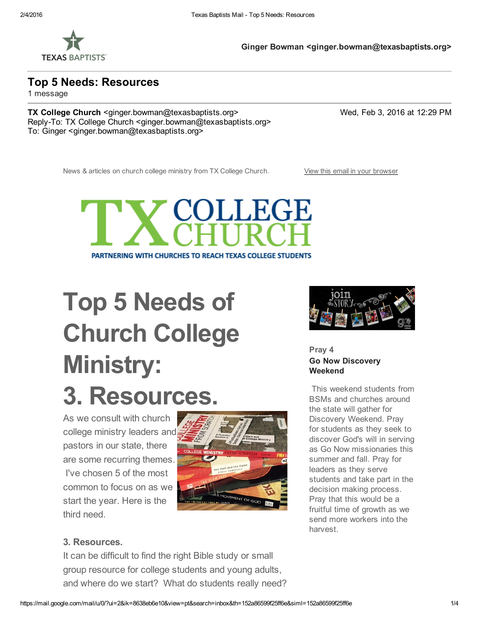

Ginger Bowman <ginger.bowman@texasbaptists.org>

Top 5 Needs: Resources

1 message

TX College Church <ginger.bowman@texasbaptists.org> Wed, Feb 3, 2016 at 12:29 PM Reply-To: TX College Church <ginger.bowman@texasbaptists.org> To: Ginger <ginger.bowman@texasbaptists.org>

News & articles on church college ministry from TX College Church. View this email in your [browser](http://us1.campaign-archive1.com/?u=05bce292c6d030cdf9b00c9a8&id=662ee3e1eb&e=464e710706)



# Top 5 Needs of Church College Ministry: 3. Resources.

As we consult with church college ministry leaders and pastors in our state, there are some recurring themes. I've chosen 5 of the most common to focus on as we start the year. Here is the third need.





Pray 4 Go Now Discovery Weekend

This weekend students from BSMs and churches around the state will gather for Discovery Weekend. Pray for students as they seek to discover God's will in serving as Go Now missionaries this summer and fall. Pray for leaders as they serve students and take part in the decision making process. Pray that this would be a fruitful time of growth as we send more workers into the harvest.

#### 3. Resources.

It can be difficult to find the right Bible study or small group resource for college students and young adults, and where do we start? What do students really need?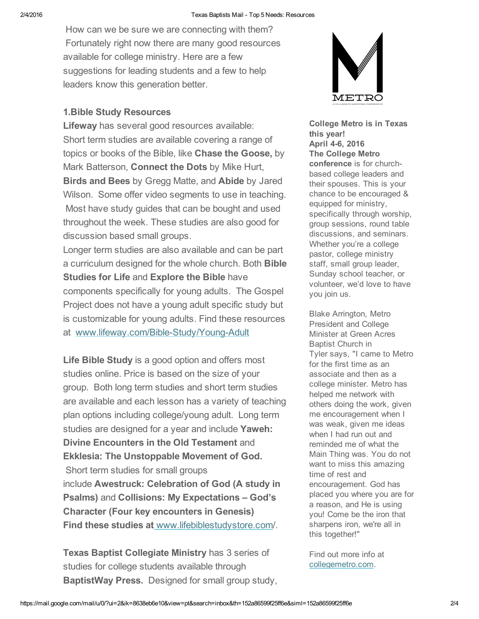How can we be sure we are connecting with them? Fortunately right now there are many good resources available for college ministry. Here are a few suggestions for leading students and a few to help leaders know this generation better.

#### 1.Bible Study Resources

Lifeway has several good resources available: Short term studies are available covering a range of topics or books of the Bible, like Chase the Goose, by Mark Batterson, Connect the Dots by Mike Hurt, Birds and Bees by Gregg Matte, and Abide by Jared Wilson. Some offer video segments to use in teaching. Most have study guides that can be bought and used throughout the week. These studies are also good for discussion based small groups.

Longer term studies are also available and can be part a curriculum designed for the whole church. Both Bible Studies for Life and Explore the Bible have components specifically for young adults. The Gospel Project does not have a young adult specific study but is customizable for young adults. Find these resources at www.lifeway.com/Bible-Study/Young-Adult

Life Bible Study is a good option and offers most studies online. Price is based on the size of your group. Both long term studies and short term studies are available and each lesson has a variety of teaching plan options including college/young adult. Long term studies are designed for a year and include Yaweh: Divine Encounters in the Old Testament and Ekklesia: The Unstoppable Movement of God. Short term studies for small groups include Awestruck: Celebration of God (A study in Psalms) and Collisions: My Expectations – God's Character (Four key encounters in Genesis) Find these studies at [www.lifebiblestudystore.com/](http://collegiatechurchlife.us1.list-manage2.com/track/click?u=05bce292c6d030cdf9b00c9a8&id=c9b5cd0fa8&e=464e710706).

Texas Baptist Collegiate Ministry has 3 series of studies for college students available through BaptistWay Press. Designed for small group study,



College Metro is in Texas this year! April 4-6, 2016 The College Metro conference is for churchbased college leaders and their spouses. This is your chance to be encouraged & equipped for ministry, specifically through worship, group sessions, round table discussions, and seminars. Whether you're a college pastor, college ministry staff, small group leader, Sunday school teacher, or volunteer, we'd love to have you join us.

Blake Arrington, Metro President and College Minister at Green Acres Baptist Church in Tyler says, "I came to Metro for the first time as an associate and then as a college minister. Metro has helped me network with others doing the work, given me encouragement when I was weak, given me ideas when I had run out and reminded me of what the Main Thing was. You do not want to miss this amazing time of rest and encouragement. God has placed you where you are for a reason, and He is using you! Come be the iron that sharpens iron, we're all in this together!"

Find out more info at [collegemetro.com.](http://collegiatechurchlife.us1.list-manage2.com/track/click?u=05bce292c6d030cdf9b00c9a8&id=02ab2fc8f5&e=464e710706)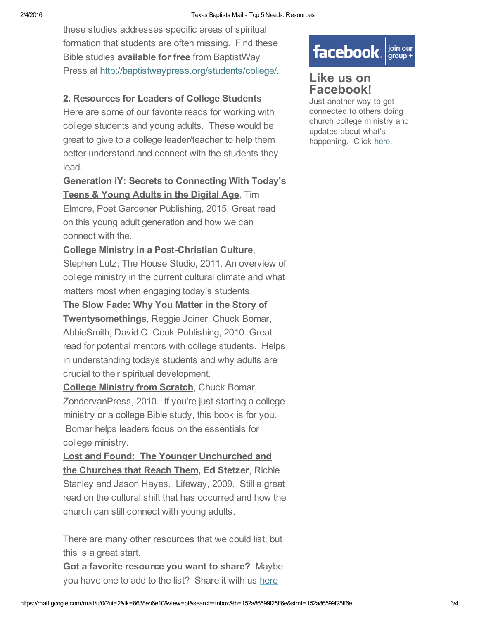these studies addresses specific areas of spiritual formation that students are often missing. Find these Bible studies available for free from BaptistWay Press at [http://baptistwaypress.org/students/college/.](http://collegiatechurchlife.us1.list-manage.com/track/click?u=05bce292c6d030cdf9b00c9a8&id=a04c0a4c6c&e=464e710706)

#### 2. Resources for Leaders of College Students

Here are some of our favorite reads for working with college students and young adults. These would be great to give to a college leader/teacher to help them better understand and connect with the students they lead.

Generation iY: Secrets to Connecting With Today's Teens & Young Adults in the Digital Age, Tim Elmore, Poet Gardener Publishing, 2015. Great read on this young adult generation and how we can

connect with the. College Ministry in a Post-Christian Culture,

Stephen Lutz, The House Studio, 2011. An overview of college ministry in the current cultural climate and what matters most when engaging today's students.

The Slow Fade: Why You Matter in the Story of

Twentysomethings, Reggie Joiner, Chuck Bomar, AbbieSmith, David C. Cook Publishing, 2010. Great read for potential mentors with college students. Helps in understanding todays students and why adults are crucial to their spiritual development.

**College Ministry from Scratch, Chuck Bomar,** ZondervanPress, 2010. If you're just starting a college ministry or a college Bible study, this book is for you. Bomar helps leaders focus on the essentials for college ministry.

Lost and Found: The Younger Unchurched and the Churches that Reach Them, Ed Stetzer, Richie Stanley and Jason Hayes. Lifeway, 2009. Still a great read on the cultural shift that has occurred and how the church can still connect with young adults.

There are many other resources that we could list, but this is a great start.

Got a favorite resource you want to share? Maybe you have one to add to the list? [Share](http://collegiatechurchlife.us1.list-manage1.com/track/click?u=05bce292c6d030cdf9b00c9a8&id=96b6398425&e=464e710706) it with us here

## facebook. signal your

### Like us on Facebook!

Just another way to get connected to others doing church college ministry and updates about what's happening. Click [here.](http://collegiatechurchlife.us1.list-manage.com/track/click?u=05bce292c6d030cdf9b00c9a8&id=3c49494815&e=464e710706)